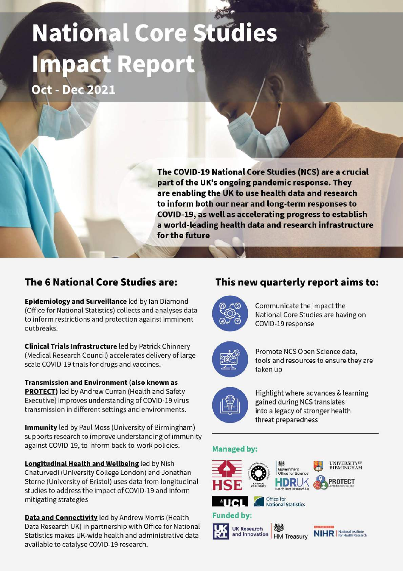# National Core Studies **Impact Report Oct - Dec 2021**

The COVID-19 National Core Studies (NCS) are a crucial part of the UK's ongoing pandemic response. They are enabling the UK to use health data and research to inform both our near and long-term responses to COVID-19, as well as accelerating progress to establish a world-leading health data and research infrastructure for the future

#### The 6 National Core Studies are:

Epidemiology and Surveillance led by Ian Diamond (Office for National Statistics) collects and analyses data to inform restrictions and protection against imminent outbreaks.

**Clinical Trials Infrastructure led by Patrick Chinnery** (Medical Research Council) accelerates delivery of large scale COVID-19 trials for drugs and vaccines.

**Transmission and Environment (also known as PROTECT)** led by Andrew Curran (Health and Safety Executive) improves understanding of COVID-19 virus transmission in different settings and environments.

**Immunity** led by Paul Moss (University of Birmingham) supports research to improve understanding of immunity against COVID-19, to inform back-to-work policies.

**Longitudinal Health and Wellbeing led by Nish** Chaturvedi (University College London) and Jonathan Sterne (University of Bristol) uses data from longitudinal studies to address the impact of COVID-19 and inform mitigating strategies

Data and Connectivity led by Andrew Morris (Health Data Research UK) in partnership with Office for National Statistics makes UK-wide health and administrative data available to catalyse COVID-19 research.

#### This new quarterly report aims to:



Communicate the impact the National Core Studies are having on COVID-19 response



Promote NCS Open Science data, tools and resources to ensure they are taken up



Highlight where advances & learning gained during NCS translates into a legacy of stronger health threat preparedness

#### **Managed by:**

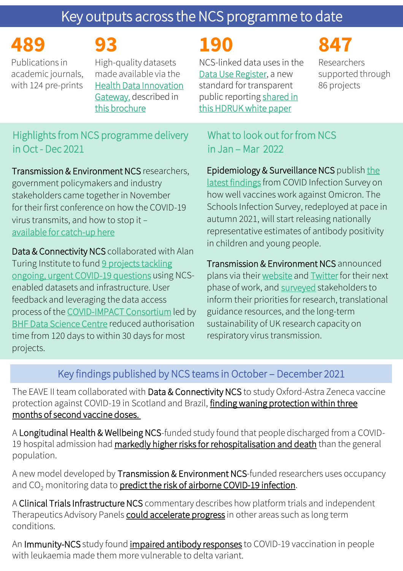# Key outputs across the NCS programme to date

**489**

# **93**

Publications in academic journals, with 124 pre-prints

High-quality datasets made available via the [Health Data Innovation](https://www.healthdatagateway.org/)  Gateway, described in [this brochure](https://www.hdruk.ac.uk/wp-content/uploads/2021/08/Data-for-COVID-research-across-the-UK-NCS-Brochure.pdf)

# **190**

NCS-linked data uses in the [Data Use Register,](https://web.www.healthdatagateway.org/search?search=&tab=Datauses) a new standard for transparent [public reporting shared in](https://doi.org/10.5281/zenodo.5901806) this HDRUK white paper

# **847**

Researchers supported through 86 projects

## Highlights from NCS programme delivery in Oct - Dec 2021

Transmission & Environment NCS researchers, government policymakers and industry stakeholders came together in November for their first conference on how the COVID-19 virus transmits, and how to stop it *–* [available for catch-up here](https://sites.manchester.ac.uk/covid19-national-project/protect-covid-19-conference-on-transmission-and-environment/)

Data & Connectivity NCS collaborated with Alan [Turing Institute to fund 9 projects tackling](https://www.hdruk.ac.uk/news/new-advanced-analytics-research-to-deliver-next-level-of-insights-into-covid-19/) ongoing, urgent COVID-19 questions using NCSenabled datasets and infrastructure. User feedback and leveraging the data access process of the [COVID-IMPACT Consortium](https://web.www.healthdatagateway.org/dataset/7e5f0247-f033-4f98-aed3-3d7422b9dc6d) led by [BHF Data Science Centre](https://www.hdruk.ac.uk/helping-with-health-data/bhf-data-science-centre/) reduced authorisation time from 120 days to within 30 days for most projects.

## What to look out for from NCS in Jan – Mar 2022

Epidemiology & Surveillance NCS publish the latest findings [from COVID Infection Survey on](https://doi.org/10.1101/2022.01.18.22269082) how well vaccines work against Omicron. The Schools Infection Survey, redeployed at pace in autumn 2021, will start releasing nationally representative estimates of antibody positivity in children and young people.

Transmission & Environment NCS announced plans via their [website](https://sites.manchester.ac.uk/covid19-national-project/2022/01/24/help-shape-the-next-stage-of-the-protect-study/) and [Twitter](https://gbr01.safelinks.protection.outlook.com/?url=https%3A%2F%2Ftwitter.com%2FPROTECT_NCS&data=04%7C01%7CMatthew.Thakur%40hdruk.ac.uk%7C190b54e5086e461c16e508d9d7701102%7C844cacb1702742639d8a18faa5bf0839%7C1%7C0%7C637777698598694310%7CUnknown%7CTWFpbGZsb3d8eyJWIjoiMC4wLjAwMDAiLCJQIjoiV2luMzIiLCJBTiI6Ik1haWwiLCJXVCI6Mn0%3D%7C3000&sdata=tholR8qarGSmiAnta5UaH7J9h7lMRS%2BVYj40N6Tdcns%3D&reserved=0) for their next phase of work, and [surveyed](https://sites.manchester.ac.uk/covid19-national-project/2022/01/24/help-shape-the-next-stage-of-the-protect-study/) stakeholders to inform their priorities for research, translational guidance resources, and the long-term sustainability of UK research capacity on respiratory virus transmission.

# Key findings published by NCS teams in October – December 2021

The EAVE II team collaborated with Data & Connectivity NCS to study Oxford-Astra Zeneca vaccine [protection against COVID-19 in Scotland and Brazil,](https://www.thelancet.com/journals/lancet/article/PIIS0140-6736(21)02754-9/fulltext) finding waning protection within three months of second vaccine doses.

A Longitudinal Health & Wellbeing NCS-funded study found that people discharged from a COVID19 hospital admission had [markedly higher risks for rehospitalisation and death](https://gbr01.safelinks.protection.outlook.com/?url=https%3A%2F%2Fwww.medrxiv.org%2Fcontent%2F10.1101%2F2021.07.16.21260628v1&data=04%7C01%7CMatthew.Thakur%40hdruk.ac.uk%7C97ad16dd1b5e4f565c2d08d9dc449991%7C844cacb1702742639d8a18faa5bf0839%7C1%7C0%7C637783009469312270%7CUnknown%7CTWFpbGZsb3d8eyJWIjoiMC4wLjAwMDAiLCJQIjoiV2luMzIiLCJBTiI6Ik1haWwiLCJXVCI6Mn0%3D%7C3000&sdata=nC%2FVBFnx9nR8OOjBqXLoA0yJCYrA3lZDTlTciENTTCc%3D&reserved=0) than the general population.

A new model developed by Transmission & Environment NCS-funded researchers uses occupancy and  $CO<sub>2</sub>$  monitoring data to [predict the risk of airborne COVID-19 infection](https://doi.org/10.1177%2F1420326X211043564).

A Clinical Trials Infrastructure NCS commentary describes how platform trials and independent Therapeutics Advisory Panels [could accelerate progress](https://gbr01.safelinks.protection.outlook.com/?url=https%3A%2F%2Fdoi.org%2F10.1038%2Fd41573-021-00203-7&data=04%7C01%7CMatthew.Thakur%40hdruk.ac.uk%7C1e8681b084f9423268be08d9df311069%7C844cacb1702742639d8a18faa5bf0839%7C1%7C0%7C637786224109874415%7CUnknown%7CTWFpbGZsb3d8eyJWIjoiMC4wLjAwMDAiLCJQIjoiV2luMzIiLCJBTiI6Ik1haWwiLCJXVCI6Mn0%3D%7C3000&sdata=f1g4c%2FBUavcfK0eOlALySaA9yMnXdlaEHQIb9zjrqts%3D&reserved=0) in other areas such as long term conditions.

An Immunity-NCS study found [impaired antibody responses](https://doi.org/10.1186/s13045-021-01219-7) to COVID-19 vaccination in people with leukaemia made them more vulnerable to delta variant.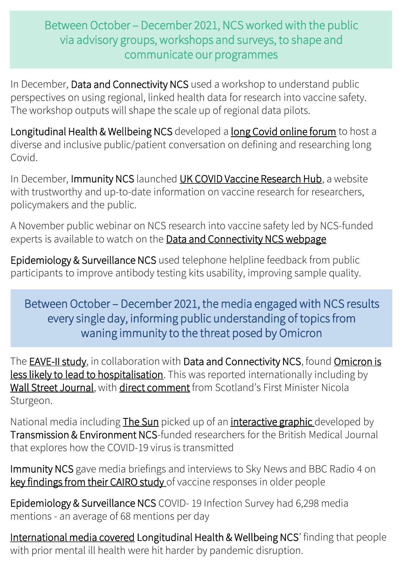# Between October – December 2021, NCS worked with the public via advisory groups, workshops and surveys, to shape and communicate our programmes

In December, Data and Connectivity NCS used a workshop to understand public perspectives on using regional, linked health data for research into vaccine safety. The workshop outputs will shape the scale up of regional data pilots.

Longitudinal Health & Wellbeing NCS developed a [long Covid online forum](https://gbr01.safelinks.protection.outlook.com/?url=https%3A%2F%2Fdiscourse.phwe.org.uk%2Ft%2Fhow-should-we-define-long-covid%2F250&data=04%7C01%7CMatthew.Thakur%40hdruk.ac.uk%7C97ad16dd1b5e4f565c2d08d9dc449991%7C844cacb1702742639d8a18faa5bf0839%7C1%7C0%7C637783009469312270%7CUnknown%7CTWFpbGZsb3d8eyJWIjoiMC4wLjAwMDAiLCJQIjoiV2luMzIiLCJBTiI6Ik1haWwiLCJXVCI6Mn0%3D%7C3000&sdata=%2Fvk4Rn75963L5pI7jYBiTzoL0hoSXjiwNpxYJx9qWBc%3D&reserved=0) to host a diverse and inclusive public/patient conversation on defining and researching long Covid.

In December, Immunity NCS launched [UK COVID Vaccine Research Hub,](https://www.covidvaccineresearch.org/) a website with trustworthy and up-to-date information on vaccine research for researchers, policymakers and the public.

A November public webinar on NCS research into vaccine safety led by NCS-funded experts is available to watch on the [Data and Connectivity NCS webpage](https://www.hdruk.ac.uk/news/covid-19-vaccine-safety-research/)

Epidemiology & Surveillance NCS used telephone helpline feedback from public participants to improve antibody testing kits usability, improving sample quality.

Between October – December 2021, the media engaged with NCS results every single day, informing public understanding of topics from waning immunity to the threat posed by Omicron

The **EAVE-II study**, in collaboration with Data and Connectivity NCS, found **Omicron is** less likely to lead to hospitalisation. This was reported internationally including by [Wall Street Journal,](https://www.wsj.com/articles/covid-19-booster-offers-substantial-protection-against-symptomatic-infection-with-omicron-study-finds-11640191103) with [direct comment](https://twitter.com/NicolaSturgeon/status/1473907802305449984?ref_src=twsrc%5Etfw) from Scotland's First Minister Nicola Sturgeon.

National media including [The Sun](https://www.thesun.co.uk/health/16918073/online-tool-risk-catching-covid-daily-settings/) picked up of an [interactive graphic d](https://www.bmj.com/content/375/bmj-2021-065312)eveloped by Transmission & Environment NCS-funded researchers for the British Medical Journal that explores how the COVID-19 virus is transmitted

Immunity NCS gave media briefings and interviews to Sky News and BBC Radio 4 on [key findings from their CAIRO study](https://assets.publishing.service.gov.uk/government/uploads/system/uploads/attachment_data/file/1007573/S1332_How_long_will_vaccines_continue_to_protect_against_COVID-19.pdf) of vaccine responses in older people

Epidemiology & Surveillance NCS COVID- 19 Infection Survey had 6,298 media mentions - an average of 68 mentions per day

[International media covered](https://newsatw.com/people-with-prior-mental-ill-health-hit-harder-by-pandemic-disruption/) Longitudinal Health & Wellbeing NCS' finding that people with prior mental ill health were hit harder by pandemic disruption.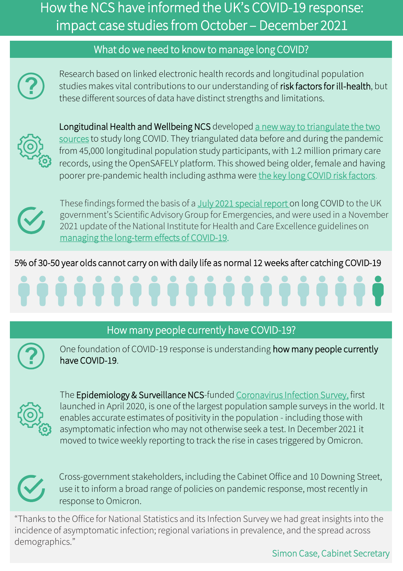# How the NCS have informed the UK's COVID-19 response: impact case studies from October – December 2021

### What do we need to know to manage long COVID?



Research based on linked electronic health records and longitudinal population studies makes vital contributions to our understanding of risk factors for ill-health, but these different sources of data have distinct strengths and limitations.



Longitudinal Health and Wellbeing NCS developed a new way to triangulate the two sources to study long COVID. They triangulated data before and during the pandemic from 45,000 longitudinal population study participants, with 1.2 million primary care records, using the OpenSAFELY platform. This showed being older, female and having poorer pre-pandemic health including asthma were [the key long COVID risk factors](https://www.medrxiv.org/content/10.1101/2021.06.24.21259277v2).



These findings formed the basis of a [July 2021 special report](https://assets.publishing.service.gov.uk/government/uploads/system/uploads/attachment_data/file/1007511/S1327_Short_Long_COVID_report.pdf) on long COVID to the UK government's Scientific Advisory Group for Emergencies, and were used in a November 2021 update of the National Institute for Health and Care Excellence guidelines on [managing the long-term effects of COVID-19](https://www.nice.org.uk/guidance/ng188/chapter/Recommendations).

5% of 30-50 year olds cannot carry on with daily life as normal 12 weeks after catching COVID-19

## How many people currently have COVID-19?



One foundation of COVID-19 response is understanding how many people currently have COVID-19.



The Epidemiology & Surveillance NCS-funded [Coronavirus Infection Survey,](https://www.ons.gov.uk/peoplepopulationandcommunity/healthandsocialcare/conditionsanddiseases/bulletins/coronaviruscovid19infectionsurveypilot/previousReleases) first launched in April 2020, is one of the largest population sample surveys in the world. It enables accurate estimates of positivity in the population - including those with asymptomatic infection who may not otherwise seek a test. In December 2021 it moved to twice weekly reporting to track the rise in cases triggered by Omicron.



Cross-government stakeholders, including the Cabinet Office and 10 Downing Street, use it to inform a broad range of policies on pandemic response, most recently in response to Omicron.

"Thanks to the Office for National Statistics and its Infection Survey we had great insights into the incidence of asymptomatic infection; regional variations in prevalence, and the spread across demographics."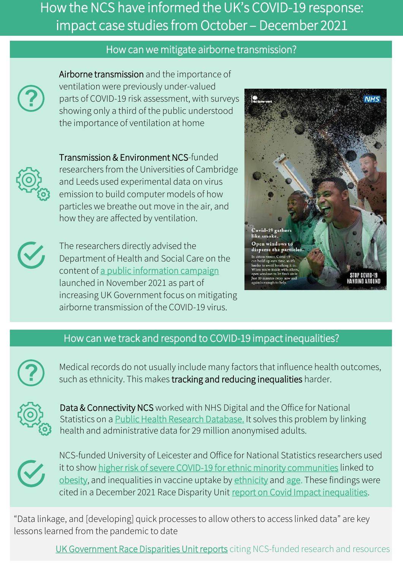# How the NCS have informed the UK's COVID-19 response: impact case studies from October – December 2021

#### How can we mitigate airborne transmission?



Airborne transmission and the importance of ventilation were previously under-valued parts of COVID-19 risk assessment, with surveys showing only a third of the public understood the importance of ventilation at home

Transmission & Environment NCS-funded researchers from the Universities of Cambridge and Leeds used experimental data on virus emission to build computer models of how particles we breathe out move in the air, and how they are affected by ventilation.

The researchers directly advised the Department of Health and Social Care on the content of [a public information campaign](https://www.gov.uk/government/news/new-campaign-to-stop-covid-19-hanging-around) launched in November 2021 as part of increasing UK Government focus on mitigating airborne transmission of the COVID-19 virus.



#### How can we track and respond to COVID-19 impact inequalities?



Medical records do not usually include many factors that influence health outcomes, such as ethnicity. This makes tracking and reducing inequalities harder.



Data & Connectivity NCS worked with NHS Digital and the Office for National Statistics on a [Public Health Research Database.](https://web.www.healthdatagateway.org/dataset/a325f33e-bac8-49af-896f-1e025941dae8) It solves this problem by linking health and administrative data for 29 million anonymised adults.



NCS-funded University of Leicester and Office for National Statistics researchers used it to show [higher risk of severe COVID-19 for ethnic minority communities](https://pubmed.ncbi.nlm.nih.gov/34132940/) linked to [obesity](https://www.medrxiv.org/content/10.1101/2021.07.22.21260416v1), and inequalities in vaccine uptake by [ethnicity](https://bmjopen.bmj.com/content/11/7/e053402) and [age.](https://doi.org/10.1101/2021.10.07.21264681) These findings were cited in a December 2021 Race Disparity Unit [report on Covid Impact inequalities.](https://www.gov.uk/government/publications/final-report-on-progress-to-address-covid-19-health-inequalities)

"Data linkage, and [developing] quick processes to allow others to access linked data" are key lessons learned from the pandemic to date

[UK Government Race Disparities Unit reports](https://www.gov.uk/government/publications/final-report-on-progress-to-address-covid-19-health-inequalities) citing NCS-funded research and resources